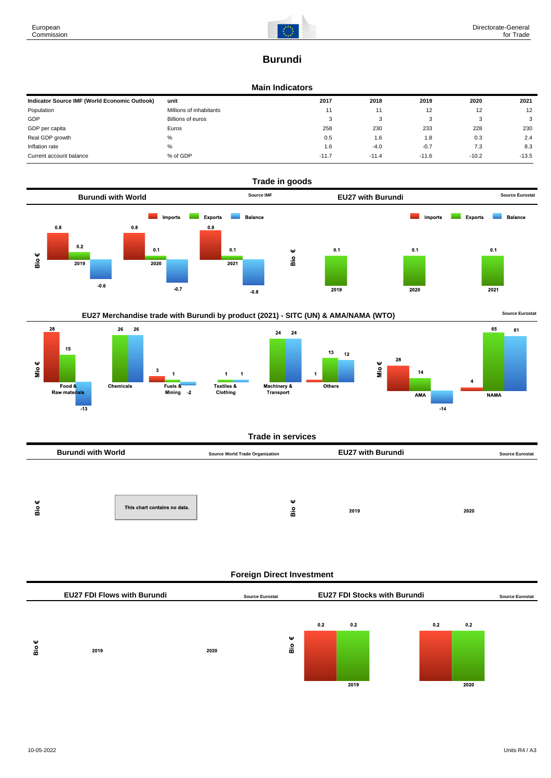# **Burundi**

# **Main Indicators**

| Indicator Source IMF (World Economic Outlook) | unit                    | 2017    | 2018    | 2019    | 2020    | 2021    |
|-----------------------------------------------|-------------------------|---------|---------|---------|---------|---------|
| Population                                    | Millions of inhabitants | 11      | 11      | 12      | 12      | 12      |
| GDP                                           | Billions of euros       | - 3     | ຸ       |         |         | 3       |
| GDP per capita                                | Euros                   | 258     | 230     | 233     | 228     | 230     |
| Real GDP growth                               | %                       | 0.5     | 1.6     | 1.8     | 0.3     | 2.4     |
| Inflation rate                                | %                       | 1.6     | $-4.0$  | $-0.7$  | 7.3     | 8.3     |
| Current account balance                       | % of GDP                | $-11.7$ | $-11.4$ | $-11.6$ | $-10.2$ | $-13.5$ |





## **Trade in services**

|        | <b>Burundi with World</b> |                              | <b>Source World Trade Organization</b> |        | <b>EU27 with Burundi</b> |      | <b>Source Eurostat</b> |
|--------|---------------------------|------------------------------|----------------------------------------|--------|--------------------------|------|------------------------|
|        |                           |                              |                                        |        |                          |      |                        |
|        |                           |                              |                                        |        |                          |      |                        |
| ω<br>å |                           | This chart contains no data. |                                        | ω<br>응 | 2019                     | 2020 |                        |

# **Foreign Direct Investment**